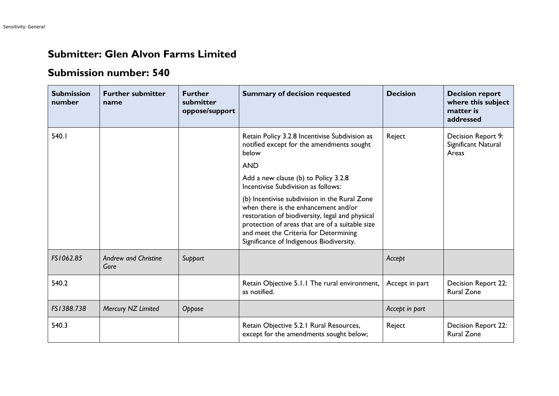## **Submitter: Glen Alvon Farms Limited**

## **Submission number: 540**

| <b>Submission</b><br>number | <b>Further submitter</b><br>name    | <b>Further</b><br>submitter<br>oppose/support | <b>Summary of decision requested</b>                                                                                                                                                                                                                                             | <b>Decision</b> | <b>Decision report</b><br>where this subject<br>matter is<br>addressed |
|-----------------------------|-------------------------------------|-----------------------------------------------|----------------------------------------------------------------------------------------------------------------------------------------------------------------------------------------------------------------------------------------------------------------------------------|-----------------|------------------------------------------------------------------------|
| 540.1                       |                                     |                                               | Retain Policy 3.2.8 Incentivise Subdivision as<br>notified except for the amendments sought<br>below                                                                                                                                                                             | Reject          | Decision Report 9:<br>Significant Natural<br>Areas                     |
|                             |                                     |                                               | <b>AND</b>                                                                                                                                                                                                                                                                       |                 |                                                                        |
|                             |                                     |                                               | Add a new clause (b) to Policy 3.2.8<br>Incentivise Subdivision as follows:                                                                                                                                                                                                      |                 |                                                                        |
|                             |                                     |                                               | (b) Incentivise subdivision in the Rural Zone<br>when there is the enhancement and/or<br>restoration of biodiversity, legal and physical<br>protection of areas that are of a suitable size<br>and meet the Criteria for Determining<br>Significance of Indigenous Biodiversity. |                 |                                                                        |
| FS1062.85                   | <b>Andrew and Christine</b><br>Gore | Support                                       |                                                                                                                                                                                                                                                                                  | Accept          |                                                                        |
| 540.2                       |                                     |                                               | Retain Objective 5.1.1 The rural environment,<br>as notified.                                                                                                                                                                                                                    | Accept in part  | Decision Report 22:<br><b>Rural Zone</b>                               |
| FS1388.738                  | Mercury NZ Limited                  | Oppose                                        |                                                                                                                                                                                                                                                                                  | Accept in part  |                                                                        |
| 540.3                       |                                     |                                               | Retain Objective 5.2.1 Rural Resources,<br>except for the amendments sought below;                                                                                                                                                                                               | Reject          | Decision Report 22:<br><b>Rural Zone</b>                               |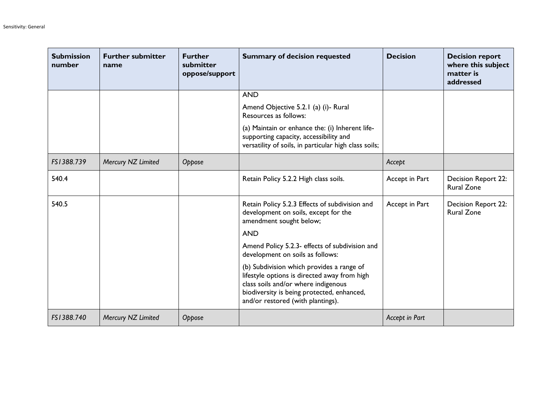| <b>Submission</b><br>number | <b>Further submitter</b><br>name | <b>Further</b><br>submitter<br>oppose/support | <b>Summary of decision requested</b>                                                                                                                                                                                | <b>Decision</b> | <b>Decision report</b><br>where this subject<br>matter is<br>addressed |
|-----------------------------|----------------------------------|-----------------------------------------------|---------------------------------------------------------------------------------------------------------------------------------------------------------------------------------------------------------------------|-----------------|------------------------------------------------------------------------|
|                             |                                  |                                               | <b>AND</b>                                                                                                                                                                                                          |                 |                                                                        |
|                             |                                  |                                               | Amend Objective 5.2.1 (a) (i)- Rural<br>Resources as follows:                                                                                                                                                       |                 |                                                                        |
|                             |                                  |                                               | (a) Maintain or enhance the: (i) Inherent life-<br>supporting capacity, accessibility and<br>versatility of soils, in particular high class soils;                                                                  |                 |                                                                        |
| FS1388.739                  | Mercury NZ Limited               | Oppose                                        |                                                                                                                                                                                                                     | Accept          |                                                                        |
| 540.4                       |                                  |                                               | Retain Policy 5.2.2 High class soils.                                                                                                                                                                               | Accept in Part  | Decision Report 22:<br><b>Rural Zone</b>                               |
| 540.5                       |                                  |                                               | Retain Policy 5.2.3 Effects of subdivision and<br>development on soils, except for the<br>amendment sought below;                                                                                                   | Accept in Part  | <b>Decision Report 22:</b><br><b>Rural Zone</b>                        |
|                             |                                  |                                               | <b>AND</b>                                                                                                                                                                                                          |                 |                                                                        |
|                             |                                  |                                               | Amend Policy 5.2.3- effects of subdivision and<br>development on soils as follows:                                                                                                                                  |                 |                                                                        |
|                             |                                  |                                               | (b) Subdivision which provides a range of<br>lifestyle options is directed away from high<br>class soils and/or where indigenous<br>biodiversity is being protected, enhanced,<br>and/or restored (with plantings). |                 |                                                                        |
| FS1388.740                  | Mercury NZ Limited               | Oppose                                        |                                                                                                                                                                                                                     | Accept in Part  |                                                                        |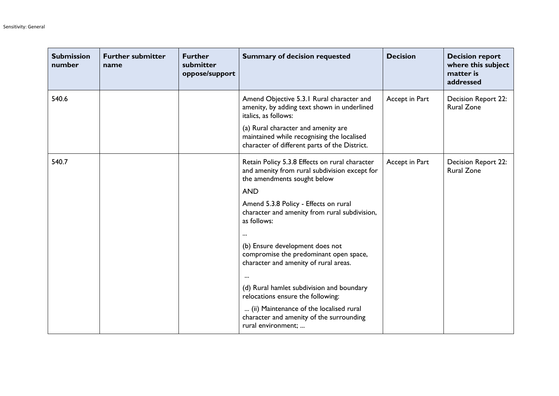| <b>Submission</b><br>number | <b>Further submitter</b><br>name | <b>Further</b><br>submitter<br>oppose/support | <b>Summary of decision requested</b>                                                                                               | <b>Decision</b> | <b>Decision report</b><br>where this subject<br>matter is<br>addressed |
|-----------------------------|----------------------------------|-----------------------------------------------|------------------------------------------------------------------------------------------------------------------------------------|-----------------|------------------------------------------------------------------------|
| 540.6                       |                                  |                                               | Amend Objective 5.3.1 Rural character and<br>amenity, by adding text shown in underlined<br>italics, as follows:                   | Accept in Part  | Decision Report 22:<br><b>Rural Zone</b>                               |
|                             |                                  |                                               | (a) Rural character and amenity are<br>maintained while recognising the localised<br>character of different parts of the District. |                 |                                                                        |
| 540.7                       |                                  |                                               | Retain Policy 5.3.8 Effects on rural character<br>and amenity from rural subdivision except for<br>the amendments sought below     | Accept in Part  | Decision Report 22:<br><b>Rural Zone</b>                               |
|                             |                                  |                                               | <b>AND</b><br>Amend 5.3.8 Policy - Effects on rural<br>character and amenity from rural subdivision,<br>as follows:                |                 |                                                                        |
|                             |                                  |                                               | (b) Ensure development does not<br>compromise the predominant open space,<br>character and amenity of rural areas.                 |                 |                                                                        |
|                             |                                  |                                               | (d) Rural hamlet subdivision and boundary<br>relocations ensure the following:                                                     |                 |                                                                        |
|                             |                                  |                                               | (ii) Maintenance of the localised rural<br>character and amenity of the surrounding<br>rural environment;                          |                 |                                                                        |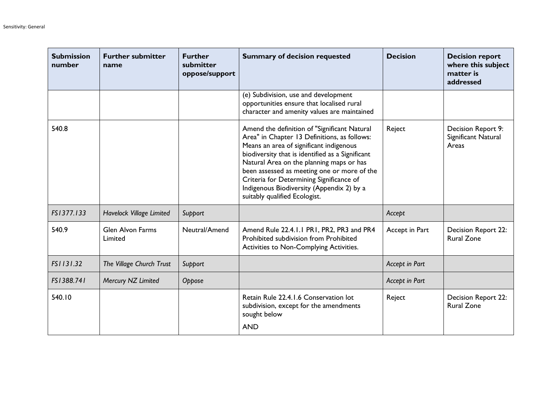| <b>Submission</b><br>number | <b>Further submitter</b><br>name   | <b>Further</b><br>submitter<br>oppose/support | <b>Summary of decision requested</b>                                                                                                                                                                                                                                                                                                                                                                             | <b>Decision</b> | <b>Decision report</b><br>where this subject<br>matter is<br>addressed |
|-----------------------------|------------------------------------|-----------------------------------------------|------------------------------------------------------------------------------------------------------------------------------------------------------------------------------------------------------------------------------------------------------------------------------------------------------------------------------------------------------------------------------------------------------------------|-----------------|------------------------------------------------------------------------|
|                             |                                    |                                               | (e) Subdivision, use and development<br>opportunities ensure that localised rural<br>character and amenity values are maintained                                                                                                                                                                                                                                                                                 |                 |                                                                        |
| 540.8                       |                                    |                                               | Amend the definition of "Significant Natural<br>Area" in Chapter 13 Definitions, as follows:<br>Means an area of significant indigenous<br>biodiversity that is identified as a Significant<br>Natural Area on the planning maps or has<br>been assessed as meeting one or more of the<br>Criteria for Determining Significance of<br>Indigenous Biodiversity (Appendix 2) by a<br>suitably qualified Ecologist. | Reject          | Decision Report 9:<br>Significant Natural<br>Areas                     |
| FS1377.133                  | <b>Havelock Village Limited</b>    | Support                                       |                                                                                                                                                                                                                                                                                                                                                                                                                  | Accept          |                                                                        |
| 540.9                       | <b>Glen Alvon Farms</b><br>Limited | Neutral/Amend                                 | Amend Rule 22.4.1.1 PR1, PR2, PR3 and PR4<br>Prohibited subdivision from Prohibited<br>Activities to Non-Complying Activities.                                                                                                                                                                                                                                                                                   | Accept in Part  | Decision Report 22:<br><b>Rural Zone</b>                               |
| FS1131.32                   | The Village Church Trust           | Support                                       |                                                                                                                                                                                                                                                                                                                                                                                                                  | Accept in Part  |                                                                        |
| FS1388.741                  | Mercury NZ Limited                 | Oppose                                        |                                                                                                                                                                                                                                                                                                                                                                                                                  | Accept in Part  |                                                                        |
| 540.10                      |                                    |                                               | Retain Rule 22.4.1.6 Conservation lot<br>subdivision, except for the amendments<br>sought below<br><b>AND</b>                                                                                                                                                                                                                                                                                                    | Reject          | Decision Report 22:<br><b>Rural Zone</b>                               |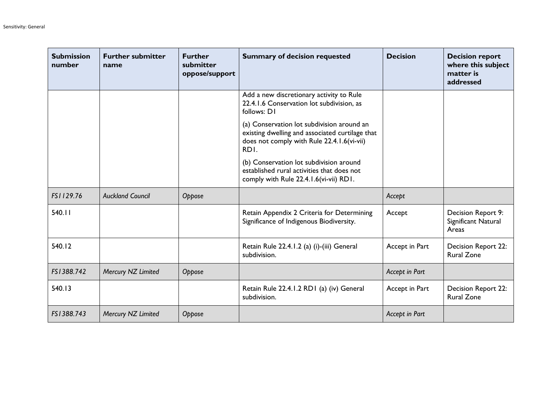| <b>Submission</b><br>number | <b>Further submitter</b><br>name | <b>Further</b><br>submitter<br>oppose/support | <b>Summary of decision requested</b>                                                                                                                | <b>Decision</b> | <b>Decision report</b><br>where this subject<br>matter is<br>addressed |
|-----------------------------|----------------------------------|-----------------------------------------------|-----------------------------------------------------------------------------------------------------------------------------------------------------|-----------------|------------------------------------------------------------------------|
|                             |                                  |                                               | Add a new discretionary activity to Rule<br>22.4.1.6 Conservation lot subdivision, as<br>follows: D1                                                |                 |                                                                        |
|                             |                                  |                                               | (a) Conservation lot subdivision around an<br>existing dwelling and associated curtilage that<br>does not comply with Rule 22.4.1.6(vi-vii)<br>RDI. |                 |                                                                        |
|                             |                                  |                                               | (b) Conservation lot subdivision around<br>established rural activities that does not<br>comply with Rule 22.4.1.6(vi-vii) RD1.                     |                 |                                                                        |
| FS1129.76                   | <b>Auckland Council</b>          | Oppose                                        |                                                                                                                                                     | Accept          |                                                                        |
| 540.11                      |                                  |                                               | Retain Appendix 2 Criteria for Determining<br>Significance of Indigenous Biodiversity.                                                              | Accept          | Decision Report 9:<br>Significant Natural<br>Areas                     |
| 540.12                      |                                  |                                               | Retain Rule 22.4.1.2 (a) (i)-(iii) General<br>subdivision.                                                                                          | Accept in Part  | <b>Decision Report 22:</b><br><b>Rural Zone</b>                        |
| FS1388.742                  | Mercury NZ Limited               | Oppose                                        |                                                                                                                                                     | Accept in Part  |                                                                        |
| 540.13                      |                                  |                                               | Retain Rule 22.4.1.2 RD1 (a) (iv) General<br>subdivision.                                                                                           | Accept in Part  | <b>Decision Report 22:</b><br><b>Rural Zone</b>                        |
| FS1388.743                  | Mercury NZ Limited               | Oppose                                        |                                                                                                                                                     | Accept in Part  |                                                                        |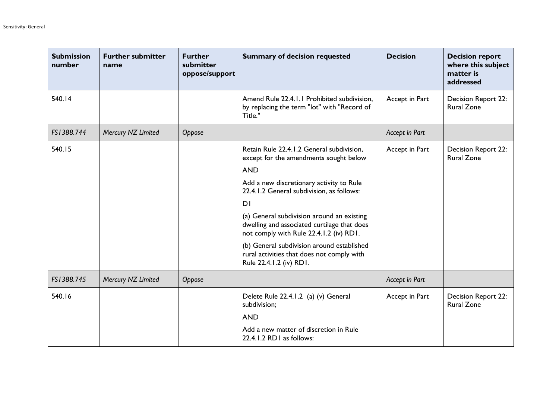| <b>Submission</b><br>number | <b>Further submitter</b><br>name | <b>Further</b><br>submitter<br>oppose/support | <b>Summary of decision requested</b>                                                                                                                                                                                                                                                                                                                                                                                                                                        | <b>Decision</b> | <b>Decision report</b><br>where this subject<br>matter is<br>addressed |
|-----------------------------|----------------------------------|-----------------------------------------------|-----------------------------------------------------------------------------------------------------------------------------------------------------------------------------------------------------------------------------------------------------------------------------------------------------------------------------------------------------------------------------------------------------------------------------------------------------------------------------|-----------------|------------------------------------------------------------------------|
| 540.14                      |                                  |                                               | Amend Rule 22.4.1.1 Prohibited subdivision,<br>by replacing the term "lot" with "Record of<br>Title."                                                                                                                                                                                                                                                                                                                                                                       | Accept in Part  | Decision Report 22:<br><b>Rural Zone</b>                               |
| FS1388.744                  | Mercury NZ Limited               | Oppose                                        |                                                                                                                                                                                                                                                                                                                                                                                                                                                                             | Accept in Part  |                                                                        |
| 540.15                      |                                  |                                               | Retain Rule 22.4.1.2 General subdivision,<br>except for the amendments sought below<br><b>AND</b><br>Add a new discretionary activity to Rule<br>22.4.1.2 General subdivision, as follows:<br>D <sub>1</sub><br>(a) General subdivision around an existing<br>dwelling and associated curtilage that does<br>not comply with Rule 22.4.1.2 (iv) RD1.<br>(b) General subdivision around established<br>rural activities that does not comply with<br>Rule 22.4.1.2 (iv) RD1. | Accept in Part  | Decision Report 22:<br><b>Rural Zone</b>                               |
| FS1388.745                  | Mercury NZ Limited               | Oppose                                        |                                                                                                                                                                                                                                                                                                                                                                                                                                                                             | Accept in Part  |                                                                        |
| 540.16                      |                                  |                                               | Delete Rule 22.4.1.2 (a) (v) General<br>subdivision;<br><b>AND</b><br>Add a new matter of discretion in Rule<br>22.4.1.2 RD1 as follows:                                                                                                                                                                                                                                                                                                                                    | Accept in Part  | <b>Decision Report 22:</b><br><b>Rural Zone</b>                        |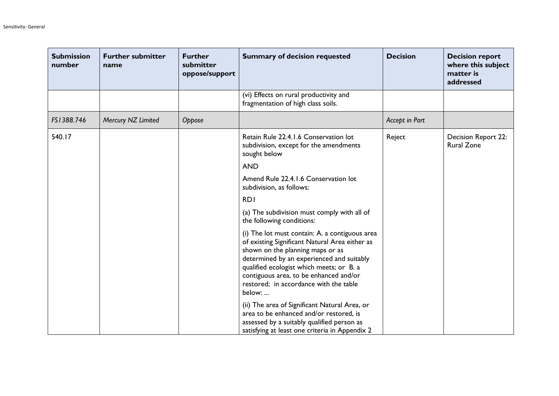| <b>Submission</b><br>number | <b>Further submitter</b><br>name | <b>Further</b><br>submitter<br>oppose/support | <b>Summary of decision requested</b>                                                                                                                                                                                                                                                                                        | <b>Decision</b> | <b>Decision report</b><br>where this subject<br>matter is<br>addressed |
|-----------------------------|----------------------------------|-----------------------------------------------|-----------------------------------------------------------------------------------------------------------------------------------------------------------------------------------------------------------------------------------------------------------------------------------------------------------------------------|-----------------|------------------------------------------------------------------------|
|                             |                                  |                                               | (vi) Effects on rural productivity and<br>fragmentation of high class soils.                                                                                                                                                                                                                                                |                 |                                                                        |
| FS1388.746                  | Mercury NZ Limited               | Oppose                                        |                                                                                                                                                                                                                                                                                                                             | Accept in Part  |                                                                        |
| 540.17                      |                                  |                                               | Retain Rule 22.4.1.6 Conservation lot<br>subdivision, except for the amendments<br>sought below                                                                                                                                                                                                                             | Reject          | <b>Decision Report 22:</b><br><b>Rural Zone</b>                        |
|                             |                                  |                                               | <b>AND</b>                                                                                                                                                                                                                                                                                                                  |                 |                                                                        |
|                             |                                  |                                               | Amend Rule 22.4.1.6 Conservation lot<br>subdivision, as follows:                                                                                                                                                                                                                                                            |                 |                                                                        |
|                             |                                  |                                               | <b>RDI</b>                                                                                                                                                                                                                                                                                                                  |                 |                                                                        |
|                             |                                  |                                               | (a) The subdivision must comply with all of<br>the following conditions:                                                                                                                                                                                                                                                    |                 |                                                                        |
|                             |                                  |                                               | (i) The lot must contain: A. a contiguous area<br>of existing Significant Natural Area either as<br>shown on the planning maps or as<br>determined by an experienced and suitably<br>qualified ecologist which meets; or B. a<br>contiguous area, to be enhanced and/or<br>restored; in accordance with the table<br>below: |                 |                                                                        |
|                             |                                  |                                               | (ii) The area of Significant Natural Area, or<br>area to be enhanced and/or restored, is<br>assessed by a suitably qualified person as<br>satisfying at least one criteria in Appendix 2                                                                                                                                    |                 |                                                                        |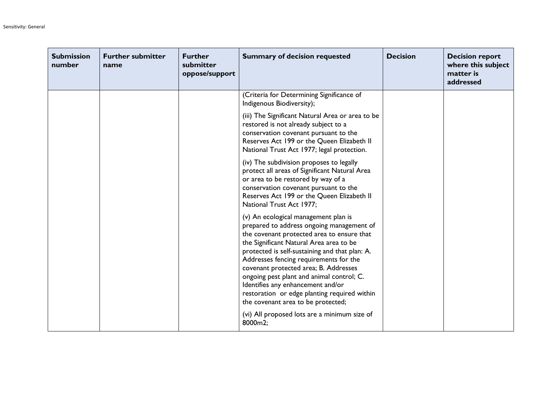| <b>Submission</b><br>number | <b>Further submitter</b><br>name | <b>Further</b><br>submitter<br>oppose/support | <b>Summary of decision requested</b>                                                                                                                                                                                                                                                                                                                                                                                                                                                    | <b>Decision</b> | <b>Decision report</b><br>where this subject<br>matter is<br>addressed |
|-----------------------------|----------------------------------|-----------------------------------------------|-----------------------------------------------------------------------------------------------------------------------------------------------------------------------------------------------------------------------------------------------------------------------------------------------------------------------------------------------------------------------------------------------------------------------------------------------------------------------------------------|-----------------|------------------------------------------------------------------------|
|                             |                                  |                                               | (Criteria for Determining Significance of<br>Indigenous Biodiversity);                                                                                                                                                                                                                                                                                                                                                                                                                  |                 |                                                                        |
|                             |                                  |                                               | (iii) The Significant Natural Area or area to be<br>restored is not already subject to a<br>conservation covenant pursuant to the<br>Reserves Act 199 or the Queen Elizabeth II<br>National Trust Act 1977; legal protection.                                                                                                                                                                                                                                                           |                 |                                                                        |
|                             |                                  |                                               | (iv) The subdivision proposes to legally<br>protect all areas of Significant Natural Area<br>or area to be restored by way of a<br>conservation covenant pursuant to the<br>Reserves Act 199 or the Queen Elizabeth II<br>National Trust Act 1977;                                                                                                                                                                                                                                      |                 |                                                                        |
|                             |                                  |                                               | (v) An ecological management plan is<br>prepared to address ongoing management of<br>the covenant protected area to ensure that<br>the Significant Natural Area area to be<br>protected is self-sustaining and that plan: A.<br>Addresses fencing requirements for the<br>covenant protected area; B. Addresses<br>ongoing pest plant and animal control; C.<br>Identifies any enhancement and/or<br>restoration or edge planting required within<br>the covenant area to be protected; |                 |                                                                        |
|                             |                                  |                                               | (vi) All proposed lots are a minimum size of<br>8000m2;                                                                                                                                                                                                                                                                                                                                                                                                                                 |                 |                                                                        |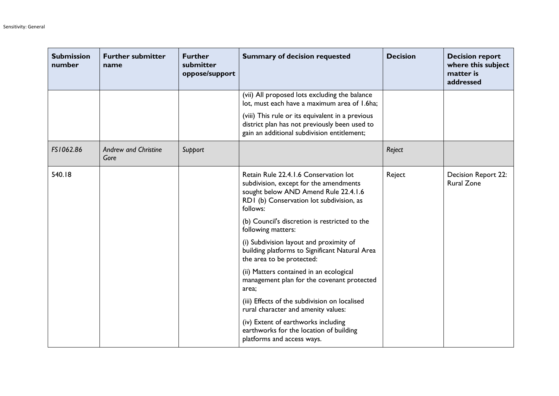| <b>Submission</b><br>number | <b>Further submitter</b><br>name    | <b>Further</b><br>submitter<br>oppose/support | <b>Summary of decision requested</b>                                                                                                                                            | <b>Decision</b> | <b>Decision report</b><br>where this subject<br>matter is<br>addressed |
|-----------------------------|-------------------------------------|-----------------------------------------------|---------------------------------------------------------------------------------------------------------------------------------------------------------------------------------|-----------------|------------------------------------------------------------------------|
|                             |                                     |                                               | (vii) All proposed lots excluding the balance<br>lot, must each have a maximum area of 1.6ha;                                                                                   |                 |                                                                        |
|                             |                                     |                                               | (viii) This rule or its equivalent in a previous<br>district plan has not previously been used to<br>gain an additional subdivision entitlement;                                |                 |                                                                        |
| FS1062.86                   | <b>Andrew and Christine</b><br>Gore | Support                                       |                                                                                                                                                                                 | Reject          |                                                                        |
| 540.18                      |                                     |                                               | Retain Rule 22.4.1.6 Conservation lot<br>subdivision, except for the amendments<br>sought below AND Amend Rule 22.4.1.6<br>RD1 (b) Conservation lot subdivision, as<br>follows: | Reject          | Decision Report 22:<br><b>Rural Zone</b>                               |
|                             |                                     |                                               | (b) Council's discretion is restricted to the<br>following matters:                                                                                                             |                 |                                                                        |
|                             |                                     |                                               | (i) Subdivision layout and proximity of<br>building platforms to Significant Natural Area<br>the area to be protected:                                                          |                 |                                                                        |
|                             |                                     |                                               | (ii) Matters contained in an ecological<br>management plan for the covenant protected<br>area;                                                                                  |                 |                                                                        |
|                             |                                     |                                               | (iii) Effects of the subdivision on localised<br>rural character and amenity values:                                                                                            |                 |                                                                        |
|                             |                                     |                                               | (iv) Extent of earthworks including<br>earthworks for the location of building<br>platforms and access ways.                                                                    |                 |                                                                        |